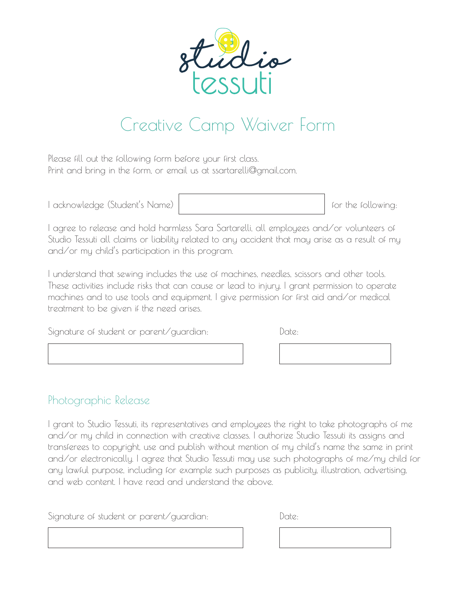

## Creative Camp Waiver Form

Please fill out the following form before your first class. Print and bring in the form, or email us at ssartarelli@gmail.com.

| I acknowledge (Student's Name) |  |
|--------------------------------|--|
|--------------------------------|--|

for the following:

I agree to release and hold harmless Sara Sartarelli, all employees and/or volunteers of Studio Tessuti all claims or liability related to any accident that may arise as a result of my and/or my child's participation in this program.

I understand that sewing includes the use of machines, needles, scissors and other tools. These activities include risks that can cause or lead to injury. I grant permission to operate machines and to use tools and equipment. I give permission for first aid and/or medical treatment to be given if the need arises.

| Signature of student or parent/guardian: |  | Date: |
|------------------------------------------|--|-------|
|------------------------------------------|--|-------|

## Photographic Release

I grant to Studio Tessuti, its representatives and employees the right to take photographs of me and/or my child in connection with creative classes. I authorize Studio Tessuti its assigns and transferees to copyright, use and publish without mention of my child's name the same in print and/or electronically. I agree that Studio Tessuti may use such photographs of me/my child for any lawful purpose, including for example such purposes as publicity, illustration, advertising, and web content. I have read and understand the above.

Signature of student or parent/guardian: Date: